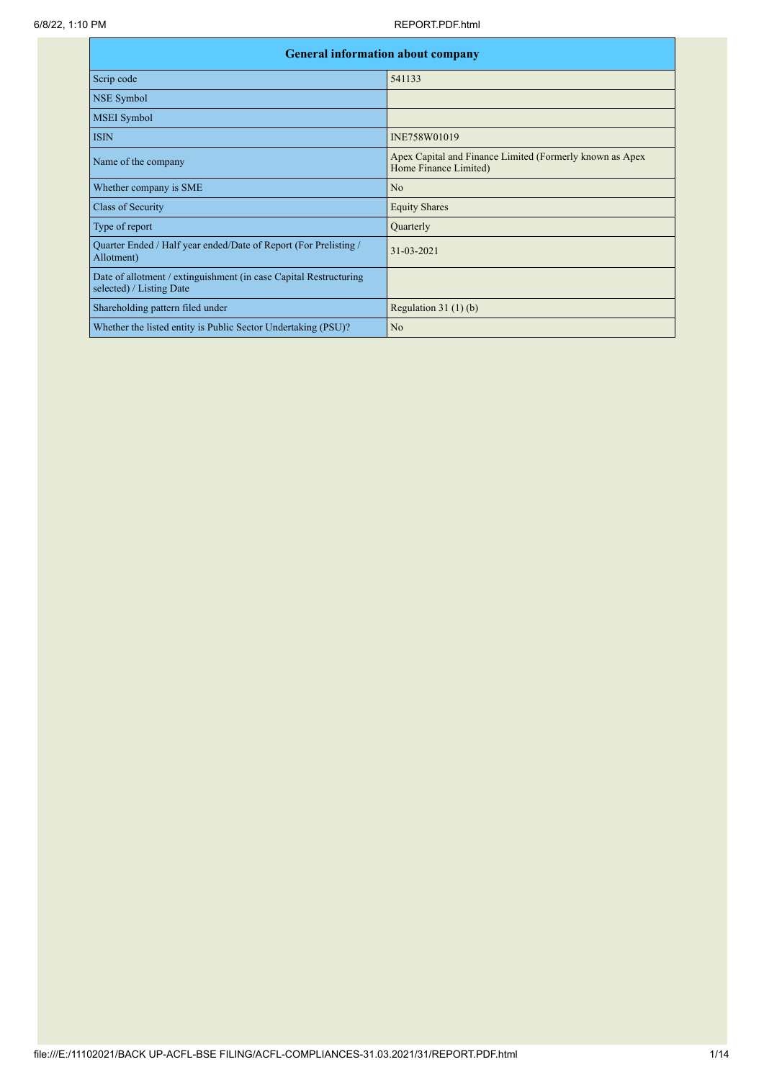|                                                                                               | <b>General information about company</b>                                          |  |  |  |  |  |  |  |  |
|-----------------------------------------------------------------------------------------------|-----------------------------------------------------------------------------------|--|--|--|--|--|--|--|--|
| Scrip code                                                                                    | 541133                                                                            |  |  |  |  |  |  |  |  |
| NSE Symbol                                                                                    |                                                                                   |  |  |  |  |  |  |  |  |
| <b>MSEI</b> Symbol                                                                            |                                                                                   |  |  |  |  |  |  |  |  |
| <b>ISIN</b>                                                                                   | INE758W01019                                                                      |  |  |  |  |  |  |  |  |
| Name of the company                                                                           | Apex Capital and Finance Limited (Formerly known as Apex<br>Home Finance Limited) |  |  |  |  |  |  |  |  |
| Whether company is SME                                                                        | N <sub>o</sub>                                                                    |  |  |  |  |  |  |  |  |
| Class of Security                                                                             | <b>Equity Shares</b>                                                              |  |  |  |  |  |  |  |  |
| Type of report                                                                                | Quarterly                                                                         |  |  |  |  |  |  |  |  |
| Quarter Ended / Half year ended/Date of Report (For Prelisting /<br>Allotment)                | $31 - 03 - 2021$                                                                  |  |  |  |  |  |  |  |  |
| Date of allotment / extinguishment (in case Capital Restructuring<br>selected) / Listing Date |                                                                                   |  |  |  |  |  |  |  |  |
| Shareholding pattern filed under                                                              | Regulation $31(1)(b)$                                                             |  |  |  |  |  |  |  |  |
| Whether the listed entity is Public Sector Undertaking (PSU)?                                 | N <sub>o</sub>                                                                    |  |  |  |  |  |  |  |  |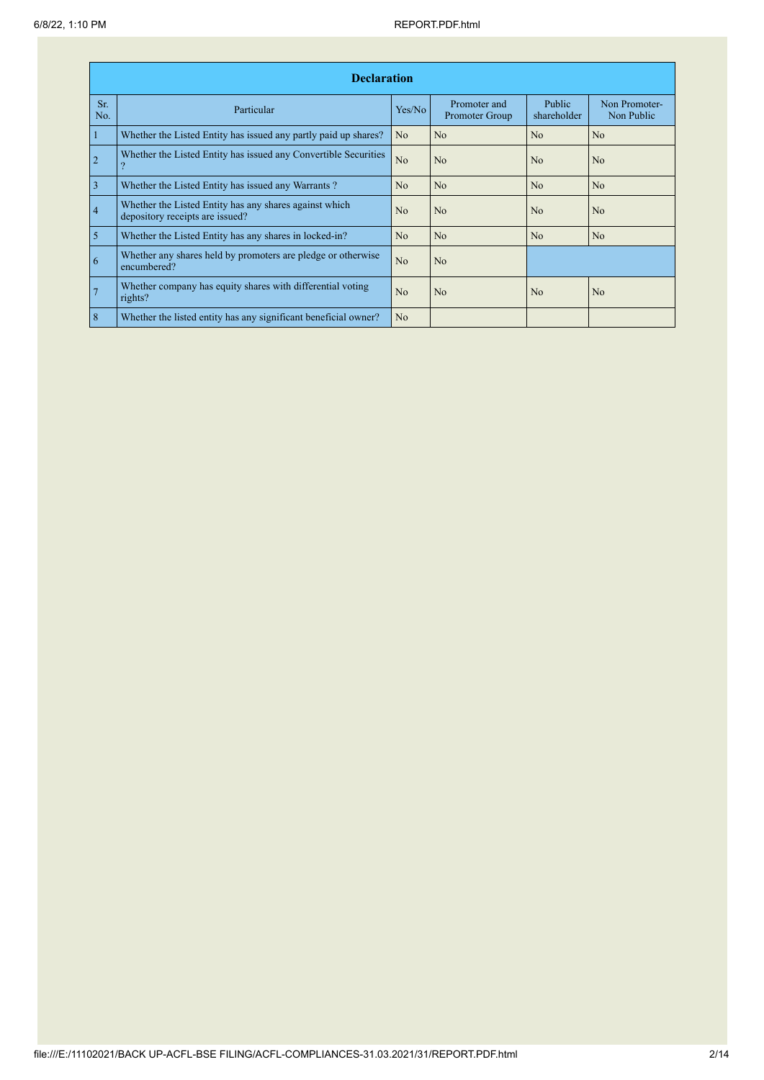|                | <b>Declaration</b>                                                                        |                |                                |                       |                             |  |  |  |  |  |  |  |
|----------------|-------------------------------------------------------------------------------------------|----------------|--------------------------------|-----------------------|-----------------------------|--|--|--|--|--|--|--|
| Sr.<br>No.     | Particular                                                                                | Yes/No         | Promoter and<br>Promoter Group | Public<br>shareholder | Non Promoter-<br>Non Public |  |  |  |  |  |  |  |
| $\overline{1}$ | Whether the Listed Entity has issued any partly paid up shares?                           | No.            | No                             | N <sub>o</sub>        | N <sub>o</sub>              |  |  |  |  |  |  |  |
| $\overline{2}$ | Whether the Listed Entity has issued any Convertible Securities                           | N <sub>o</sub> | N <sub>o</sub>                 | No                    | N <sub>o</sub>              |  |  |  |  |  |  |  |
| $\overline{3}$ | Whether the Listed Entity has issued any Warrants?                                        | N <sub>o</sub> | N <sub>o</sub>                 | N <sub>o</sub>        | N <sub>o</sub>              |  |  |  |  |  |  |  |
| $\overline{4}$ | Whether the Listed Entity has any shares against which<br>depository receipts are issued? | N <sub>0</sub> | N <sub>o</sub>                 | N <sub>0</sub>        | N <sub>o</sub>              |  |  |  |  |  |  |  |
| $\overline{5}$ | Whether the Listed Entity has any shares in locked-in?                                    | N <sub>o</sub> | N <sub>o</sub>                 | N <sub>0</sub>        | N <sub>o</sub>              |  |  |  |  |  |  |  |
| 6              | Whether any shares held by promoters are pledge or otherwise<br>encumbered?               | N <sub>o</sub> | N <sub>o</sub>                 |                       |                             |  |  |  |  |  |  |  |
| $\overline{7}$ | Whether company has equity shares with differential voting<br>rights?                     | N <sub>0</sub> | N <sub>0</sub>                 | N <sub>o</sub>        | N <sub>0</sub>              |  |  |  |  |  |  |  |
| $\overline{8}$ | Whether the listed entity has any significant beneficial owner?                           | N <sub>o</sub> |                                |                       |                             |  |  |  |  |  |  |  |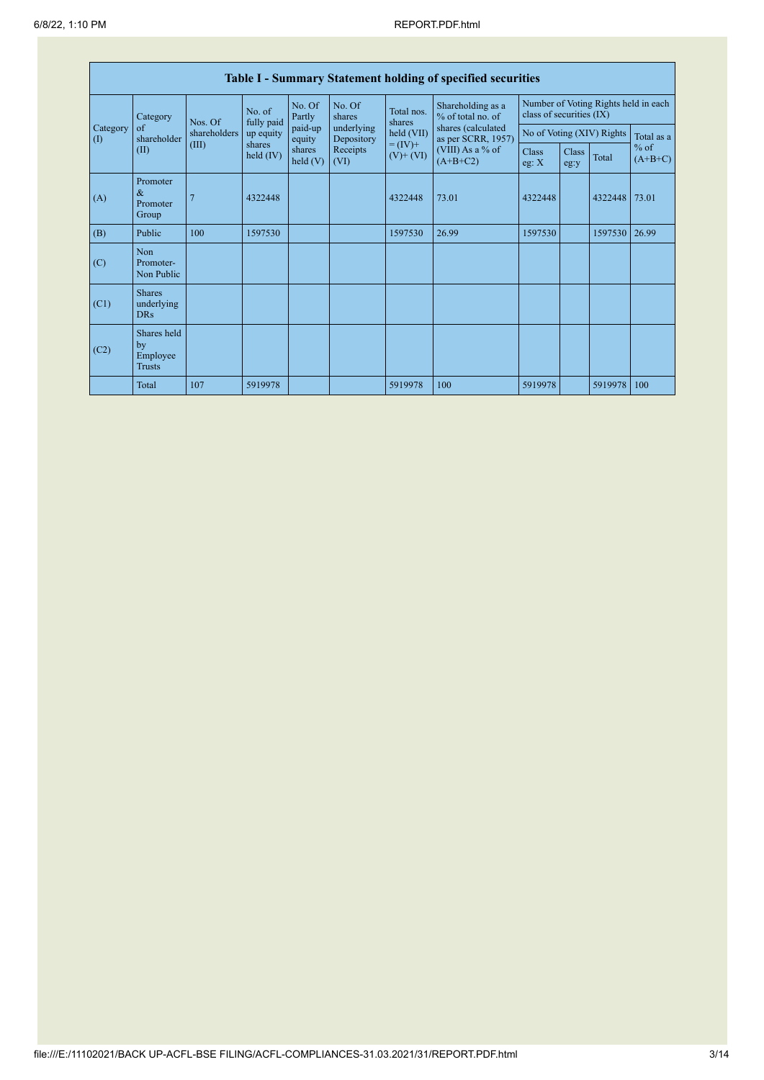|                                        | Table I - Summary Statement holding of specified securities |                                                                                                |                  |                                        |                          |                                        |                                                                  |                           |               |         |                     |  |
|----------------------------------------|-------------------------------------------------------------|------------------------------------------------------------------------------------------------|------------------|----------------------------------------|--------------------------|----------------------------------------|------------------------------------------------------------------|---------------------------|---------------|---------|---------------------|--|
|                                        | Category<br>$\sigma$<br>shareholder<br>(II)                 | No. of<br>fully paid<br>Nos. Of<br>shareholders<br>up equity<br>(III)<br>shares<br>held $(IV)$ | No. Of<br>Partly | No. Of<br>shares                       | Total nos.<br>shares     | Shareholding as a<br>% of total no. of | Number of Voting Rights held in each<br>class of securities (IX) |                           |               |         |                     |  |
| Category<br>$\left( \mathrm{I}\right)$ |                                                             |                                                                                                |                  | paid-up<br>equity<br>shares<br>held(V) | underlying<br>Depository | held (VII)                             | shares (calculated<br>as per SCRR, 1957)                         | No of Voting (XIV) Rights |               |         | Total as a          |  |
|                                        |                                                             |                                                                                                |                  |                                        | Receipts<br>(VI)         | $= (IV) +$<br>$(V)$ + $(VI)$           | (VIII) As a % of<br>$(A+B+C2)$                                   | Class<br>eg: $X$          | Class<br>eg:y | Total   | $%$ of<br>$(A+B+C)$ |  |
| (A)                                    | Promoter<br>$\&$<br>Promoter<br>Group                       |                                                                                                | 4322448          |                                        |                          | 4322448                                | 73.01                                                            | 4322448                   |               | 4322448 | 73.01               |  |
| (B)                                    | Public                                                      | 100                                                                                            | 1597530          |                                        |                          | 1597530                                | 26.99                                                            | 1597530                   |               | 1597530 | 26.99               |  |
| (C)                                    | Non<br>Promoter-<br>Non Public                              |                                                                                                |                  |                                        |                          |                                        |                                                                  |                           |               |         |                     |  |
| (C1)                                   | <b>Shares</b><br>underlying<br><b>DRs</b>                   |                                                                                                |                  |                                        |                          |                                        |                                                                  |                           |               |         |                     |  |
| (C2)                                   | Shares held<br>by<br>Employee<br><b>Trusts</b>              |                                                                                                |                  |                                        |                          |                                        |                                                                  |                           |               |         |                     |  |
|                                        | Total                                                       | 107                                                                                            | 5919978          |                                        |                          | 5919978                                | 100                                                              | 5919978                   |               | 5919978 | 100                 |  |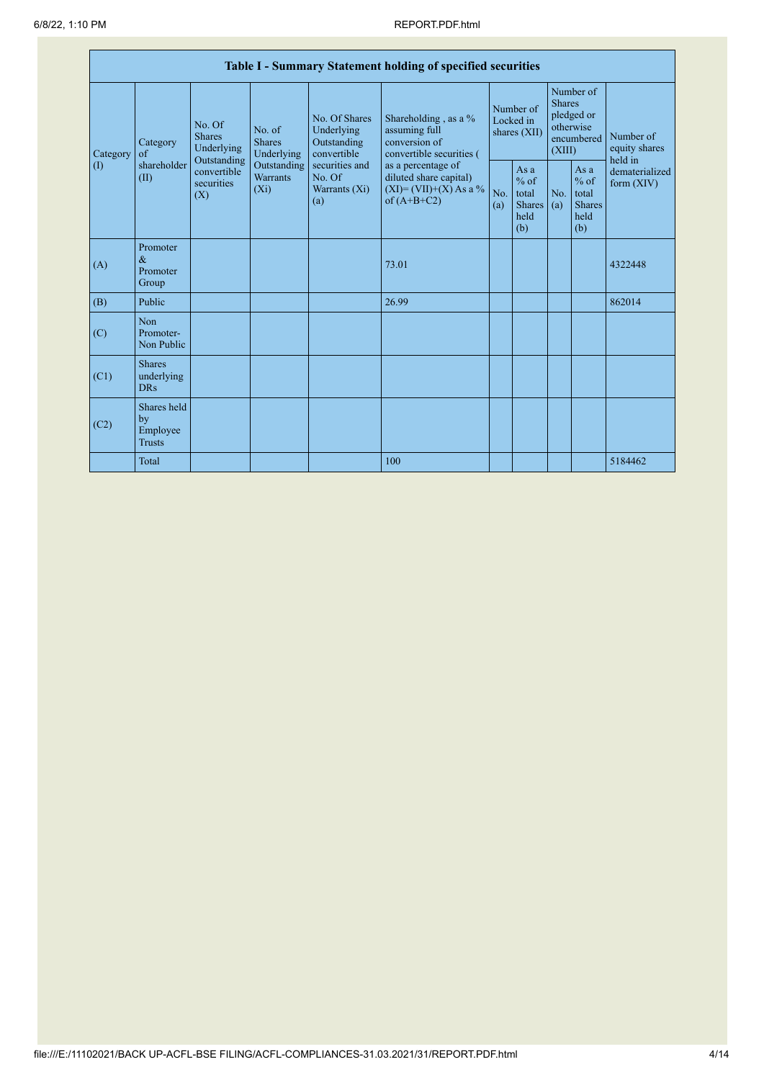|                 | Table I - Summary Statement holding of specified securities |                                                                                                                                                                                |                                                  |                                                                                            |                                                                                    |                                                        |            |                                                                               |                                |                                       |  |
|-----------------|-------------------------------------------------------------|--------------------------------------------------------------------------------------------------------------------------------------------------------------------------------|--------------------------------------------------|--------------------------------------------------------------------------------------------|------------------------------------------------------------------------------------|--------------------------------------------------------|------------|-------------------------------------------------------------------------------|--------------------------------|---------------------------------------|--|
| Category<br>(1) | Category<br>$\alpha$ f<br>shareholder<br>(II)               | No. Of<br>No. of<br><b>Shares</b><br><b>Shares</b><br>Underlying<br>Underlying<br>Outstanding<br>Outstanding<br>convertible<br><b>Warrants</b><br>securities<br>$(X_i)$<br>(X) |                                                  | No. Of Shares<br>Underlying<br>Outstanding<br>convertible                                  | Shareholding, as a %<br>assuming full<br>conversion of<br>convertible securities ( | Number of<br>Locked in<br>shares (XII)                 |            | Number of<br><b>Shares</b><br>pledged or<br>otherwise<br>encumbered<br>(XIII) |                                | Number of<br>equity shares<br>held in |  |
|                 |                                                             |                                                                                                                                                                                | securities and<br>No. Of<br>Warrants (Xi)<br>(a) | as a percentage of<br>diluted share capital)<br>$(XI) = (VII)+(X) As a %$<br>of $(A+B+C2)$ | No.<br>(a)                                                                         | Asa<br>$%$ of<br>total<br><b>Shares</b><br>held<br>(b) | No.<br>(a) | As a<br>$%$ of<br>total<br><b>Shares</b><br>held<br>(b)                       | dematerialized<br>form $(XIV)$ |                                       |  |
| (A)             | Promoter<br>$\&$<br>Promoter<br>Group                       |                                                                                                                                                                                |                                                  |                                                                                            | 73.01                                                                              |                                                        |            |                                                                               |                                | 4322448                               |  |
| (B)             | Public                                                      |                                                                                                                                                                                |                                                  |                                                                                            | 26.99                                                                              |                                                        |            |                                                                               |                                | 862014                                |  |
| (C)             | Non<br>Promoter-<br>Non Public                              |                                                                                                                                                                                |                                                  |                                                                                            |                                                                                    |                                                        |            |                                                                               |                                |                                       |  |
| (C1)            | <b>Shares</b><br>underlying<br><b>DRs</b>                   |                                                                                                                                                                                |                                                  |                                                                                            |                                                                                    |                                                        |            |                                                                               |                                |                                       |  |
| (C2)            | Shares held<br>by<br>Employee<br><b>Trusts</b>              |                                                                                                                                                                                |                                                  |                                                                                            |                                                                                    |                                                        |            |                                                                               |                                |                                       |  |
|                 | Total                                                       |                                                                                                                                                                                |                                                  |                                                                                            | 100                                                                                |                                                        |            |                                                                               |                                | 5184462                               |  |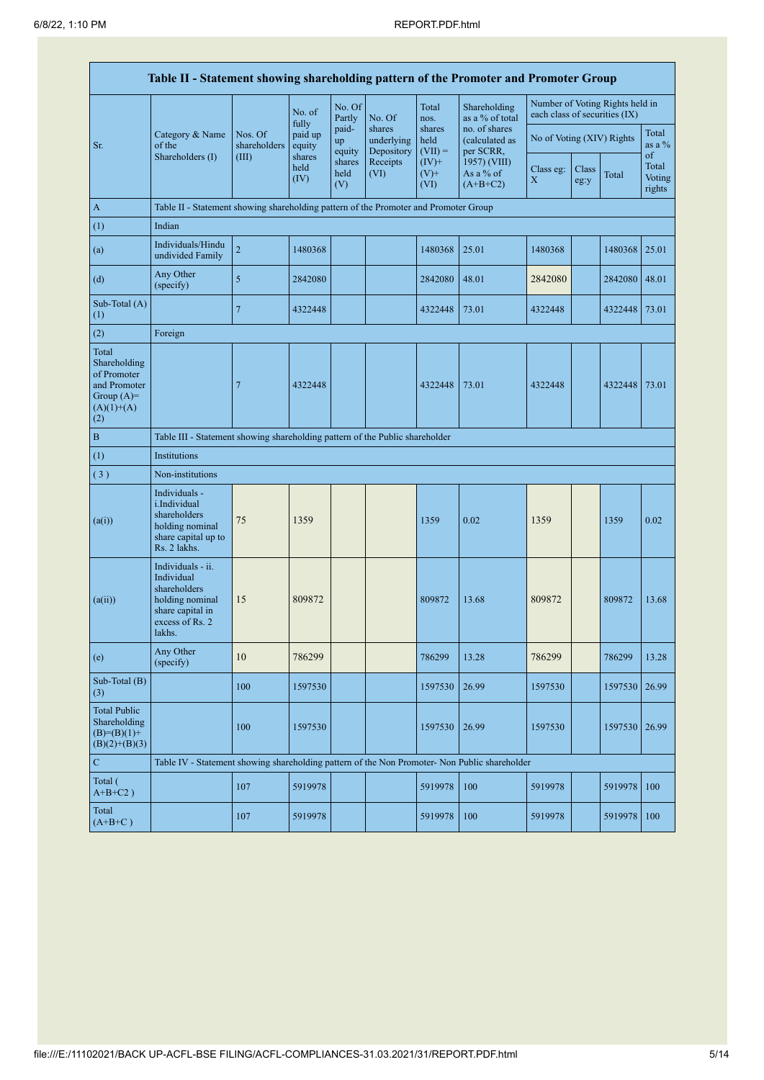|                                                                                             | Table II - Statement showing shareholding pattern of the Promoter and Promoter Group                                |                         |                        |                       |                                    |                             |                                              |                                        |               |                                 |                           |
|---------------------------------------------------------------------------------------------|---------------------------------------------------------------------------------------------------------------------|-------------------------|------------------------|-----------------------|------------------------------------|-----------------------------|----------------------------------------------|----------------------------------------|---------------|---------------------------------|---------------------------|
|                                                                                             |                                                                                                                     |                         | No. of<br>fully        | No. Of<br>Partly      | No. Of                             | Total<br>nos.               | Shareholding<br>as a % of total              | each class of securities (IX)          |               | Number of Voting Rights held in |                           |
| Sr.                                                                                         | Category & Name<br>of the                                                                                           | Nos. Of<br>shareholders | paid up<br>equity      | paid-<br>up<br>equity | shares<br>underlying<br>Depository | shares<br>held<br>$(VII) =$ | no. of shares<br>(calculated as<br>per SCRR, | No of Voting (XIV) Rights              |               |                                 | Total<br>as a $\%$<br>of  |
|                                                                                             | Shareholders (I)                                                                                                    | (III)                   | shares<br>held<br>(IV) | shares<br>held<br>(V) | Receipts<br>(VI)                   | $(IV)$ +<br>$(V)$ +<br>(VI) | 1957) (VIII)<br>As a % of<br>$(A+B+C2)$      | Class eg:<br>$\boldsymbol{\mathrm{X}}$ | Class<br>eg:y | Total                           | Total<br>Voting<br>rights |
| A                                                                                           | Table II - Statement showing shareholding pattern of the Promoter and Promoter Group                                |                         |                        |                       |                                    |                             |                                              |                                        |               |                                 |                           |
| (1)                                                                                         | Indian                                                                                                              |                         |                        |                       |                                    |                             |                                              |                                        |               |                                 |                           |
| (a)                                                                                         | Individuals/Hindu<br>undivided Family                                                                               | $\overline{c}$          | 1480368                |                       |                                    | 1480368                     | 25.01                                        | 1480368                                |               | 1480368                         | 25.01                     |
| (d)                                                                                         | Any Other<br>(specify)                                                                                              | 5                       | 2842080                |                       |                                    | 2842080                     | 48.01                                        | 2842080                                |               | 2842080                         | 48.01                     |
| Sub-Total (A)<br>(1)                                                                        |                                                                                                                     | $\overline{7}$          | 4322448                |                       |                                    | 4322448                     | 73.01                                        | 4322448                                |               | 4322448 73.01                   |                           |
| (2)                                                                                         | Foreign                                                                                                             |                         |                        |                       |                                    |                             |                                              |                                        |               |                                 |                           |
| Total<br>Shareholding<br>of Promoter<br>and Promoter<br>Group $(A)=$<br>$(A)(1)+(A)$<br>(2) |                                                                                                                     | $\overline{7}$          | 4322448                |                       |                                    | 4322448                     | 73.01                                        | 4322448                                |               | 4322448                         | 73.01                     |
| B                                                                                           | Table III - Statement showing shareholding pattern of the Public shareholder                                        |                         |                        |                       |                                    |                             |                                              |                                        |               |                                 |                           |
| (1)                                                                                         | Institutions                                                                                                        |                         |                        |                       |                                    |                             |                                              |                                        |               |                                 |                           |
| (3)                                                                                         | Non-institutions                                                                                                    |                         |                        |                       |                                    |                             |                                              |                                        |               |                                 |                           |
| (a(i))                                                                                      | Individuals -<br><i>i.Individual</i><br>shareholders<br>holding nominal<br>share capital up to<br>Rs. 2 lakhs.      | 75                      | 1359                   |                       |                                    | 1359                        | 0.02                                         | 1359                                   |               | 1359                            | 0.02                      |
| (a(ii))                                                                                     | Individuals - ii.<br>Individual<br>shareholders<br>holding nominal<br>share capital in<br>excess of Rs. 2<br>lakhs. | 15                      | 809872                 |                       |                                    | 809872                      | 13.68                                        | 809872                                 |               | 809872                          | 13.68                     |
| (e)                                                                                         | Any Other<br>(specify)                                                                                              | $10\,$                  | 786299                 |                       |                                    | 786299                      | 13.28                                        | 786299                                 |               | 786299                          | 13.28                     |
| Sub-Total (B)<br>(3)                                                                        |                                                                                                                     | 100                     | 1597530                |                       |                                    | 1597530                     | 26.99                                        | 1597530                                |               | 1597530                         | 26.99                     |
| <b>Total Public</b><br>Shareholding<br>$(B)=(B)(1)+$<br>$(B)(2)+(B)(3)$                     |                                                                                                                     | 100                     | 1597530                |                       |                                    | 1597530                     | 26.99                                        | 1597530                                |               | 1597530                         | 26.99                     |
| $\mathbf C$                                                                                 | Table IV - Statement showing shareholding pattern of the Non Promoter- Non Public shareholder                       |                         |                        |                       |                                    |                             |                                              |                                        |               |                                 |                           |
| Total (<br>$A+B+C2$ )                                                                       |                                                                                                                     | 107                     | 5919978                |                       |                                    | 5919978                     | 100                                          | 5919978                                |               | 5919978                         | 100                       |
| Total<br>$(A+B+C)$                                                                          |                                                                                                                     | 107                     | 5919978                |                       |                                    | 5919978                     | 100                                          | 5919978                                |               | 5919978                         | 100                       |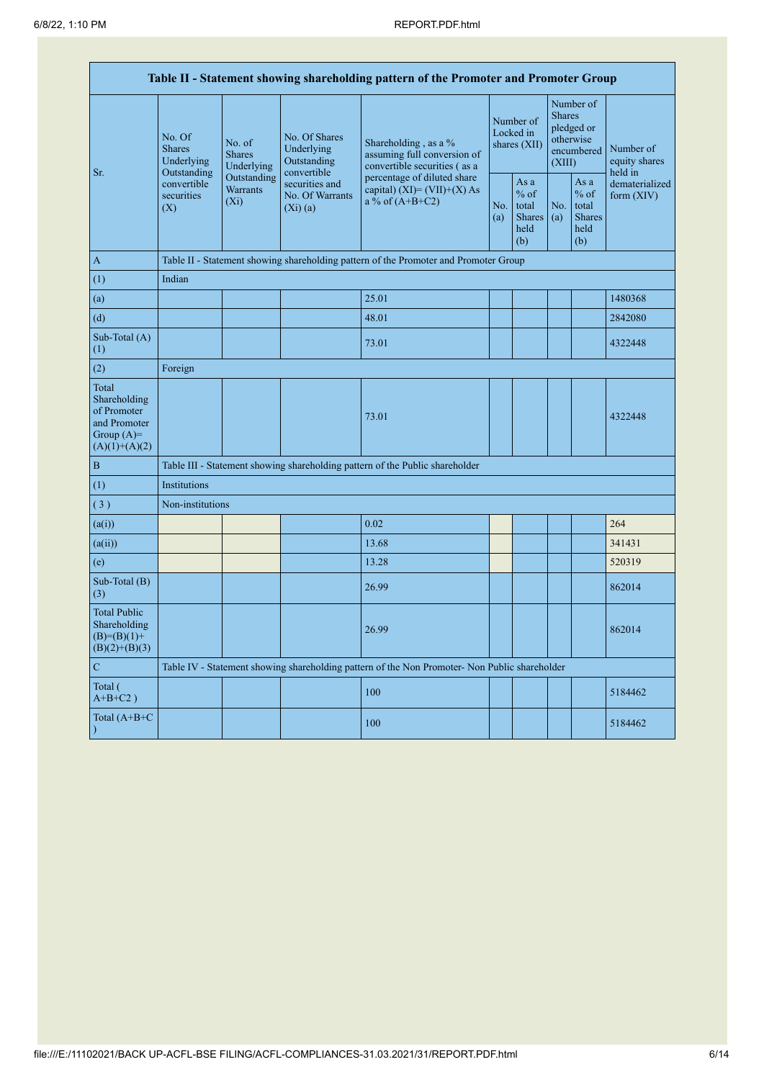| Table II - Statement showing shareholding pattern of the Promoter and Promoter Group    |                                                                                                                                                   |                                                                                      |                                                           |                                                                                               |                                        |                                                         |                                                                               |                                                         |                                       |  |  |  |
|-----------------------------------------------------------------------------------------|---------------------------------------------------------------------------------------------------------------------------------------------------|--------------------------------------------------------------------------------------|-----------------------------------------------------------|-----------------------------------------------------------------------------------------------|----------------------------------------|---------------------------------------------------------|-------------------------------------------------------------------------------|---------------------------------------------------------|---------------------------------------|--|--|--|
| Sr.                                                                                     | No. Of<br>No. of<br><b>Shares</b><br><b>Shares</b><br>Underlying<br>Outstanding<br>convertible<br><b>Warrants</b><br>securities<br>$(X_i)$<br>(X) | Underlying                                                                           | No. Of Shares<br>Underlying<br>Outstanding<br>convertible | Shareholding, as a %<br>assuming full conversion of<br>convertible securities (as a           | Number of<br>Locked in<br>shares (XII) |                                                         | Number of<br><b>Shares</b><br>pledged or<br>otherwise<br>encumbered<br>(XIII) |                                                         | Number of<br>equity shares<br>held in |  |  |  |
|                                                                                         |                                                                                                                                                   | Outstanding                                                                          | securities and<br>No. Of Warrants<br>$(Xi)$ (a)           | percentage of diluted share<br>capital) $(XI) = (VII)+(X) As$<br>a % of $(A+B+C2)$            | No.<br>(a)                             | As a<br>$%$ of<br>total<br><b>Shares</b><br>held<br>(b) | No.<br>(a)                                                                    | As a<br>$%$ of<br>total<br><b>Shares</b><br>held<br>(b) | dematerialized<br>form (XIV)          |  |  |  |
| $\mathbf{A}$                                                                            |                                                                                                                                                   | Table II - Statement showing shareholding pattern of the Promoter and Promoter Group |                                                           |                                                                                               |                                        |                                                         |                                                                               |                                                         |                                       |  |  |  |
| (1)                                                                                     | Indian                                                                                                                                            |                                                                                      |                                                           |                                                                                               |                                        |                                                         |                                                                               |                                                         |                                       |  |  |  |
| (a)                                                                                     |                                                                                                                                                   |                                                                                      |                                                           | 25.01                                                                                         |                                        |                                                         |                                                                               |                                                         | 1480368                               |  |  |  |
| (d)                                                                                     |                                                                                                                                                   |                                                                                      |                                                           | 48.01                                                                                         |                                        |                                                         |                                                                               |                                                         | 2842080                               |  |  |  |
| Sub-Total (A)<br>(1)                                                                    |                                                                                                                                                   |                                                                                      |                                                           | 73.01                                                                                         |                                        |                                                         |                                                                               |                                                         | 4322448                               |  |  |  |
| (2)                                                                                     | Foreign                                                                                                                                           |                                                                                      |                                                           |                                                                                               |                                        |                                                         |                                                                               |                                                         |                                       |  |  |  |
| Total<br>Shareholding<br>of Promoter<br>and Promoter<br>Group $(A)=$<br>$(A)(1)+(A)(2)$ |                                                                                                                                                   |                                                                                      |                                                           | 73.01                                                                                         |                                        |                                                         |                                                                               |                                                         | 4322448                               |  |  |  |
| $\, {\bf B}$                                                                            |                                                                                                                                                   |                                                                                      |                                                           | Table III - Statement showing shareholding pattern of the Public shareholder                  |                                        |                                                         |                                                                               |                                                         |                                       |  |  |  |
| (1)                                                                                     | Institutions                                                                                                                                      |                                                                                      |                                                           |                                                                                               |                                        |                                                         |                                                                               |                                                         |                                       |  |  |  |
| (3)                                                                                     | Non-institutions                                                                                                                                  |                                                                                      |                                                           |                                                                                               |                                        |                                                         |                                                                               |                                                         |                                       |  |  |  |
| (a(i))                                                                                  |                                                                                                                                                   |                                                                                      |                                                           | 0.02                                                                                          |                                        |                                                         |                                                                               |                                                         | 264                                   |  |  |  |
| (a(ii))                                                                                 |                                                                                                                                                   |                                                                                      |                                                           | 13.68                                                                                         |                                        |                                                         |                                                                               |                                                         | 341431                                |  |  |  |
| (e)                                                                                     |                                                                                                                                                   |                                                                                      |                                                           | 13.28                                                                                         |                                        |                                                         |                                                                               |                                                         | 520319                                |  |  |  |
| Sub-Total (B)<br>(3)                                                                    |                                                                                                                                                   |                                                                                      |                                                           | 26.99                                                                                         |                                        |                                                         |                                                                               |                                                         | 862014                                |  |  |  |
| <b>Total Public</b><br>Shareholding<br>$(B)= (B)(1) +$<br>$(B)(2)+(B)(3)$               |                                                                                                                                                   |                                                                                      |                                                           | 26.99                                                                                         |                                        |                                                         |                                                                               |                                                         | 862014                                |  |  |  |
| $\mathbf C$                                                                             |                                                                                                                                                   |                                                                                      |                                                           | Table IV - Statement showing shareholding pattern of the Non Promoter- Non Public shareholder |                                        |                                                         |                                                                               |                                                         |                                       |  |  |  |
| Total (<br>$A+B+C2$ )                                                                   |                                                                                                                                                   |                                                                                      |                                                           | 100                                                                                           |                                        |                                                         |                                                                               |                                                         | 5184462                               |  |  |  |
| Total $(A+B+C)$<br>$\mathcal{E}$                                                        |                                                                                                                                                   |                                                                                      |                                                           | 100                                                                                           |                                        |                                                         |                                                                               |                                                         | 5184462                               |  |  |  |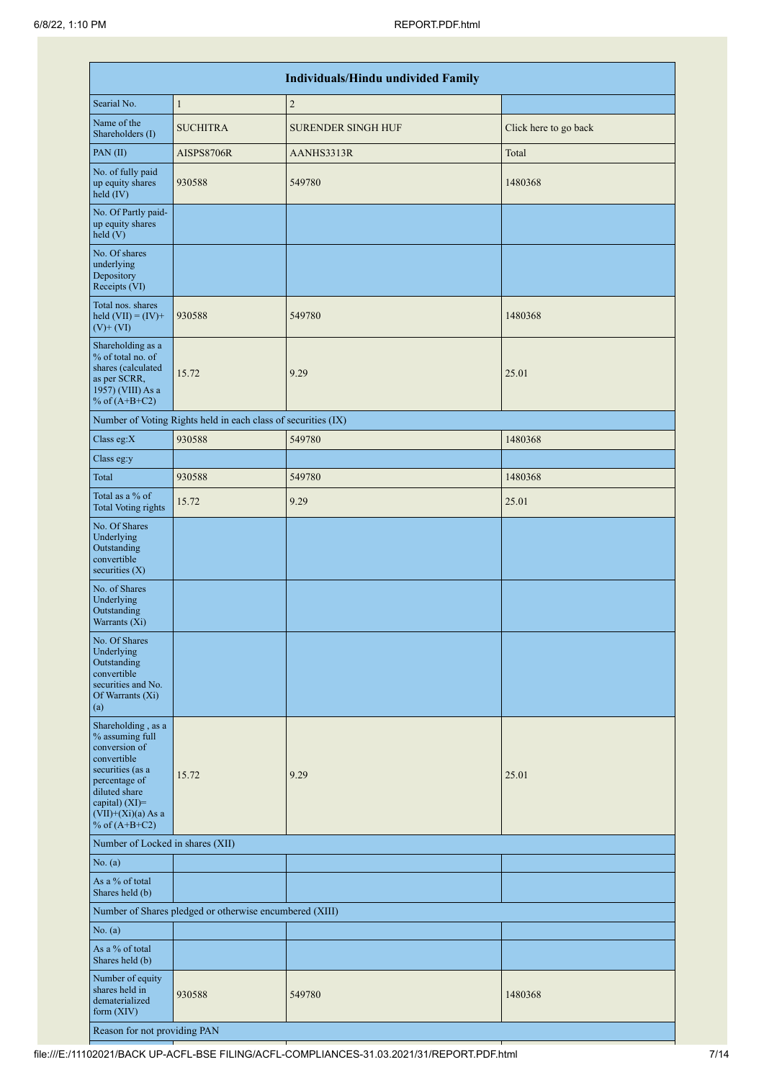|                                                                                                                                                                                          |                                                               | <b>Individuals/Hindu undivided Family</b> |                       |
|------------------------------------------------------------------------------------------------------------------------------------------------------------------------------------------|---------------------------------------------------------------|-------------------------------------------|-----------------------|
| Searial No.                                                                                                                                                                              | $\mathbf{1}$                                                  | $\overline{2}$                            |                       |
| Name of the<br>Shareholders (I)                                                                                                                                                          | <b>SUCHITRA</b>                                               | <b>SURENDER SINGH HUF</b>                 | Click here to go back |
| PAN(II)                                                                                                                                                                                  | AISPS8706R                                                    | AANHS3313R                                | Total                 |
| No. of fully paid<br>up equity shares<br>held (IV)                                                                                                                                       | 930588                                                        | 549780                                    | 1480368               |
| No. Of Partly paid-<br>up equity shares<br>held(V)                                                                                                                                       |                                                               |                                           |                       |
| No. Of shares<br>underlying<br>Depository<br>Receipts (VI)                                                                                                                               |                                                               |                                           |                       |
| Total nos. shares<br>held $(VII) = (IV) +$<br>$(V)$ + $(VI)$                                                                                                                             | 930588                                                        | 549780                                    | 1480368               |
| Shareholding as a<br>% of total no. of<br>shares (calculated<br>as per SCRR,<br>1957) (VIII) As a<br>% of $(A+B+C2)$                                                                     | 15.72                                                         | 9.29                                      | 25.01                 |
|                                                                                                                                                                                          | Number of Voting Rights held in each class of securities (IX) |                                           |                       |
| Class eg:X                                                                                                                                                                               | 930588                                                        | 549780                                    | 1480368               |
| Class eg:y                                                                                                                                                                               |                                                               |                                           |                       |
| Total                                                                                                                                                                                    | 930588                                                        | 549780                                    | 1480368               |
| Total as a % of<br><b>Total Voting rights</b>                                                                                                                                            | 15.72                                                         | 9.29                                      | 25.01                 |
| No. Of Shares<br>Underlying<br>Outstanding<br>convertible<br>securities $(X)$                                                                                                            |                                                               |                                           |                       |
| No. of Shares<br>Underlying<br>Outstanding<br>Warrants (Xi)                                                                                                                              |                                                               |                                           |                       |
| No. Of Shares<br>Underlying<br>Outstanding<br>convertible<br>securities and No.<br>Of Warrants (Xi)<br>(a)                                                                               |                                                               |                                           |                       |
| Shareholding, as a<br>% assuming full<br>conversion of<br>convertible<br>securities (as a<br>percentage of<br>diluted share<br>capital) (XI)=<br>$(VII)+(Xi)(a)$ As a<br>% of $(A+B+C2)$ | 15.72                                                         | 9.29                                      | 25.01                 |
| Number of Locked in shares (XII)                                                                                                                                                         |                                                               |                                           |                       |
| No. (a)                                                                                                                                                                                  |                                                               |                                           |                       |
| As a % of total<br>Shares held (b)                                                                                                                                                       |                                                               |                                           |                       |
|                                                                                                                                                                                          | Number of Shares pledged or otherwise encumbered (XIII)       |                                           |                       |
| No. (a)                                                                                                                                                                                  |                                                               |                                           |                       |
| As a % of total<br>Shares held (b)                                                                                                                                                       |                                                               |                                           |                       |
| Number of equity<br>shares held in<br>dematerialized<br>form (XIV)                                                                                                                       | 930588                                                        | 549780                                    | 1480368               |
| Reason for not providing PAN                                                                                                                                                             |                                                               |                                           |                       |

file:///E:/11102021/BACK UP-ACFL-BSE FILING/ACFL-COMPLIANCES-31.03.2021/31/REPORT.PDF.html 7/14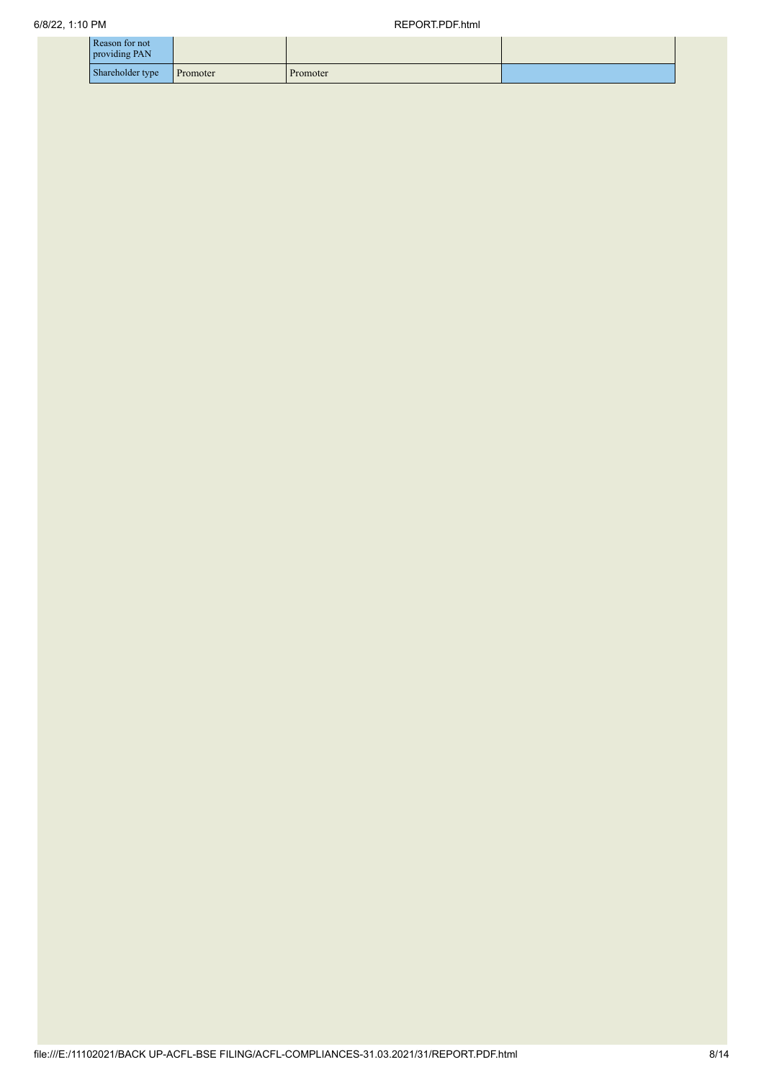| Reason for not<br>providing PAN |          |          |  |
|---------------------------------|----------|----------|--|
| Shareholder type                | Promoter | Promoter |  |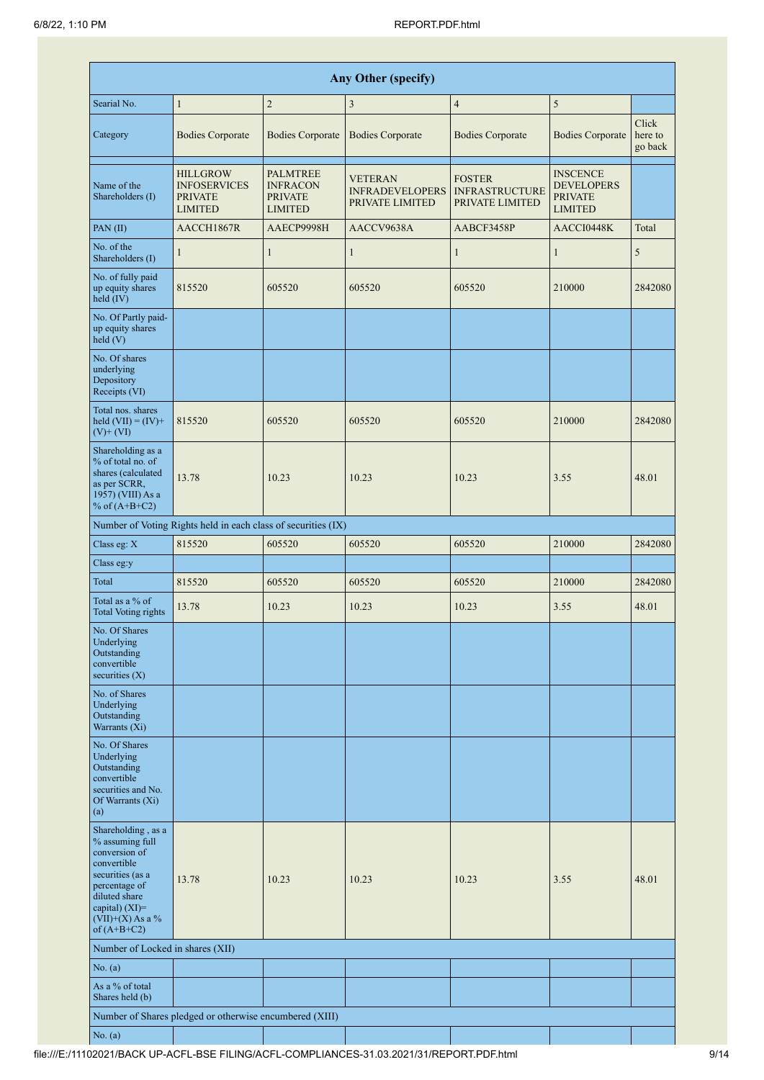|                                                                                                                                                                                      | <b>Any Other (specify)</b>                                                 |                                                                 |                                                             |                                                           |                                                                          |                             |  |  |  |  |  |  |  |
|--------------------------------------------------------------------------------------------------------------------------------------------------------------------------------------|----------------------------------------------------------------------------|-----------------------------------------------------------------|-------------------------------------------------------------|-----------------------------------------------------------|--------------------------------------------------------------------------|-----------------------------|--|--|--|--|--|--|--|
| Searial No.                                                                                                                                                                          | $\mathbf{1}$                                                               | $\overline{c}$                                                  | $\mathfrak{Z}$                                              | $\overline{4}$                                            | $\sqrt{5}$                                                               |                             |  |  |  |  |  |  |  |
| Category                                                                                                                                                                             | <b>Bodies Corporate</b>                                                    | <b>Bodies Corporate</b>                                         | <b>Bodies Corporate</b>                                     | <b>Bodies Corporate</b>                                   | <b>Bodies Corporate</b>                                                  | Click<br>here to<br>go back |  |  |  |  |  |  |  |
| Name of the<br>Shareholders (I)                                                                                                                                                      | <b>HILLGROW</b><br><b>INFOSERVICES</b><br><b>PRIVATE</b><br><b>LIMITED</b> | PALMTREE<br><b>INFRACON</b><br><b>PRIVATE</b><br><b>LIMITED</b> | <b>VETERAN</b><br><b>INFRADEVELOPERS</b><br>PRIVATE LIMITED | <b>FOSTER</b><br><b>INFRASTRUCTURE</b><br>PRIVATE LIMITED | <b>INSCENCE</b><br><b>DEVELOPERS</b><br><b>PRIVATE</b><br><b>LIMITED</b> |                             |  |  |  |  |  |  |  |
| PAN(II)                                                                                                                                                                              | AACCH1867R                                                                 | AAECP9998H                                                      | AACCV9638A                                                  | AABCF3458P                                                | AACCI0448K                                                               | Total                       |  |  |  |  |  |  |  |
| No. of the<br>Shareholders (I)                                                                                                                                                       | $\mathbf{1}$                                                               | $\mathbf{1}$                                                    | $\mathbf{1}$                                                | $\mathbf{1}$                                              | $\mathbf{1}$                                                             | 5                           |  |  |  |  |  |  |  |
| No. of fully paid<br>up equity shares<br>$held$ (IV)                                                                                                                                 | 815520                                                                     | 605520                                                          | 605520                                                      | 605520                                                    | 210000                                                                   | 2842080                     |  |  |  |  |  |  |  |
| No. Of Partly paid-<br>up equity shares<br>held(V)                                                                                                                                   |                                                                            |                                                                 |                                                             |                                                           |                                                                          |                             |  |  |  |  |  |  |  |
| No. Of shares<br>underlying<br>Depository<br>Receipts (VI)                                                                                                                           |                                                                            |                                                                 |                                                             |                                                           |                                                                          |                             |  |  |  |  |  |  |  |
| Total nos. shares<br>held $(VII) = (IV) +$<br>$(V)$ + $(VI)$                                                                                                                         | 815520                                                                     | 605520                                                          | 605520                                                      | 605520                                                    | 210000                                                                   | 2842080                     |  |  |  |  |  |  |  |
| Shareholding as a<br>% of total no. of<br>shares (calculated<br>as per SCRR,<br>1957) (VIII) As a<br>% of $(A+B+C2)$                                                                 | 13.78                                                                      | 10.23                                                           | 10.23                                                       | 10.23                                                     | 3.55                                                                     | 48.01                       |  |  |  |  |  |  |  |
|                                                                                                                                                                                      | Number of Voting Rights held in each class of securities (IX)              |                                                                 |                                                             |                                                           |                                                                          |                             |  |  |  |  |  |  |  |
| Class eg: X                                                                                                                                                                          | 815520                                                                     | 605520                                                          | 605520                                                      | 605520                                                    | 210000                                                                   | 2842080                     |  |  |  |  |  |  |  |
| Class eg:y                                                                                                                                                                           |                                                                            |                                                                 |                                                             |                                                           |                                                                          |                             |  |  |  |  |  |  |  |
| Total                                                                                                                                                                                | 815520                                                                     | 605520                                                          | 605520                                                      | 605520                                                    | 210000                                                                   | 2842080                     |  |  |  |  |  |  |  |
| Total as a % of<br>Total Voting rights                                                                                                                                               | 13.78                                                                      | 10.23                                                           | 10.23                                                       | 10.23                                                     | 3.55                                                                     | 48.01                       |  |  |  |  |  |  |  |
| No. Of Shares<br>Underlying<br>Outstanding<br>convertible<br>securities $(X)$                                                                                                        |                                                                            |                                                                 |                                                             |                                                           |                                                                          |                             |  |  |  |  |  |  |  |
| No. of Shares<br>Underlying<br>Outstanding<br>Warrants (Xi)                                                                                                                          |                                                                            |                                                                 |                                                             |                                                           |                                                                          |                             |  |  |  |  |  |  |  |
| No. Of Shares<br>Underlying<br>Outstanding<br>convertible<br>securities and No.<br>Of Warrants (Xi)<br>(a)                                                                           |                                                                            |                                                                 |                                                             |                                                           |                                                                          |                             |  |  |  |  |  |  |  |
| Shareholding, as a<br>% assuming full<br>conversion of<br>convertible<br>securities (as a<br>percentage of<br>diluted share<br>capital) (XI)=<br>$(VII)+(X)$ As a %<br>of $(A+B+C2)$ | 13.78                                                                      | 10.23                                                           | 10.23                                                       | 10.23                                                     | 3.55                                                                     | 48.01                       |  |  |  |  |  |  |  |
| Number of Locked in shares (XII)                                                                                                                                                     |                                                                            |                                                                 |                                                             |                                                           |                                                                          |                             |  |  |  |  |  |  |  |
| No. (a)                                                                                                                                                                              |                                                                            |                                                                 |                                                             |                                                           |                                                                          |                             |  |  |  |  |  |  |  |
| As a % of total<br>Shares held (b)                                                                                                                                                   |                                                                            |                                                                 |                                                             |                                                           |                                                                          |                             |  |  |  |  |  |  |  |
|                                                                                                                                                                                      | Number of Shares pledged or otherwise encumbered (XIII)                    |                                                                 |                                                             |                                                           |                                                                          |                             |  |  |  |  |  |  |  |
| No. (a)                                                                                                                                                                              |                                                                            |                                                                 |                                                             |                                                           |                                                                          |                             |  |  |  |  |  |  |  |

T

 $\mathbb{R}^n$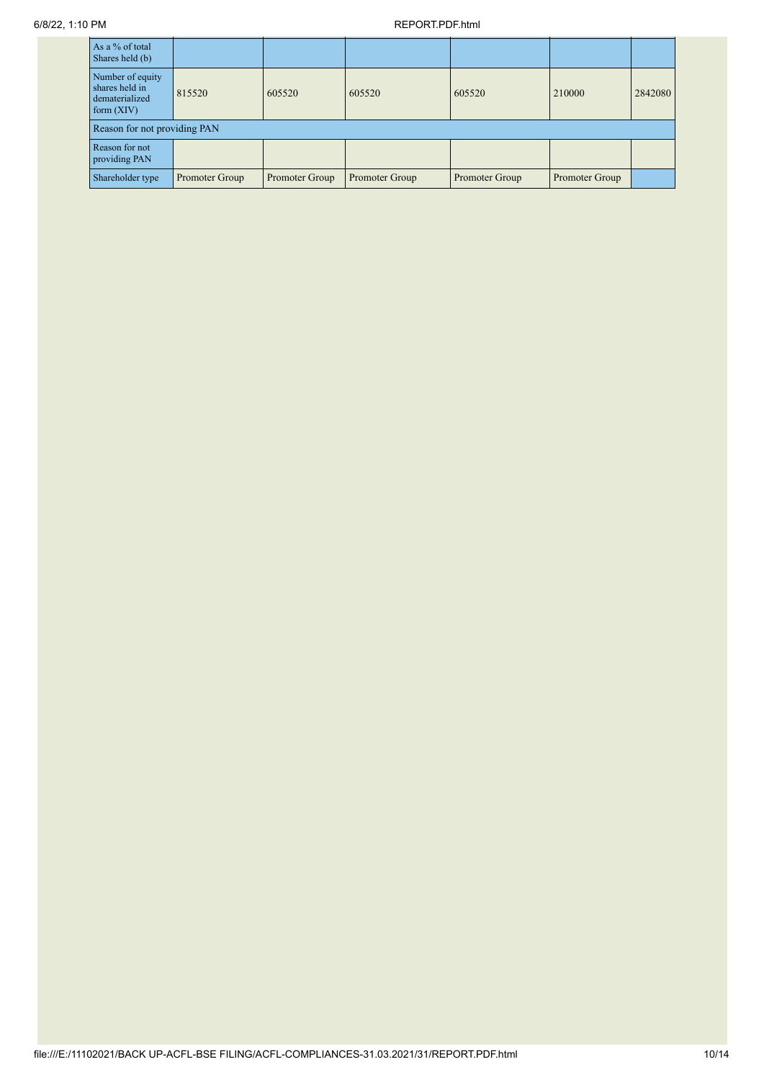## 6/8/22, 1:10 PM REPORT.PDF.html

| As a % of total<br>Shares held (b)                                   |                |                |                |                |                |         |
|----------------------------------------------------------------------|----------------|----------------|----------------|----------------|----------------|---------|
| Number of equity<br>shares held in<br>dematerialized<br>form $(XIV)$ | 815520         | 605520         | 605520         | 605520         | 210000         | 2842080 |
| Reason for not providing PAN                                         |                |                |                |                |                |         |
| Reason for not<br>providing PAN                                      |                |                |                |                |                |         |
| Shareholder type                                                     | Promoter Group | Promoter Group | Promoter Group | Promoter Group | Promoter Group |         |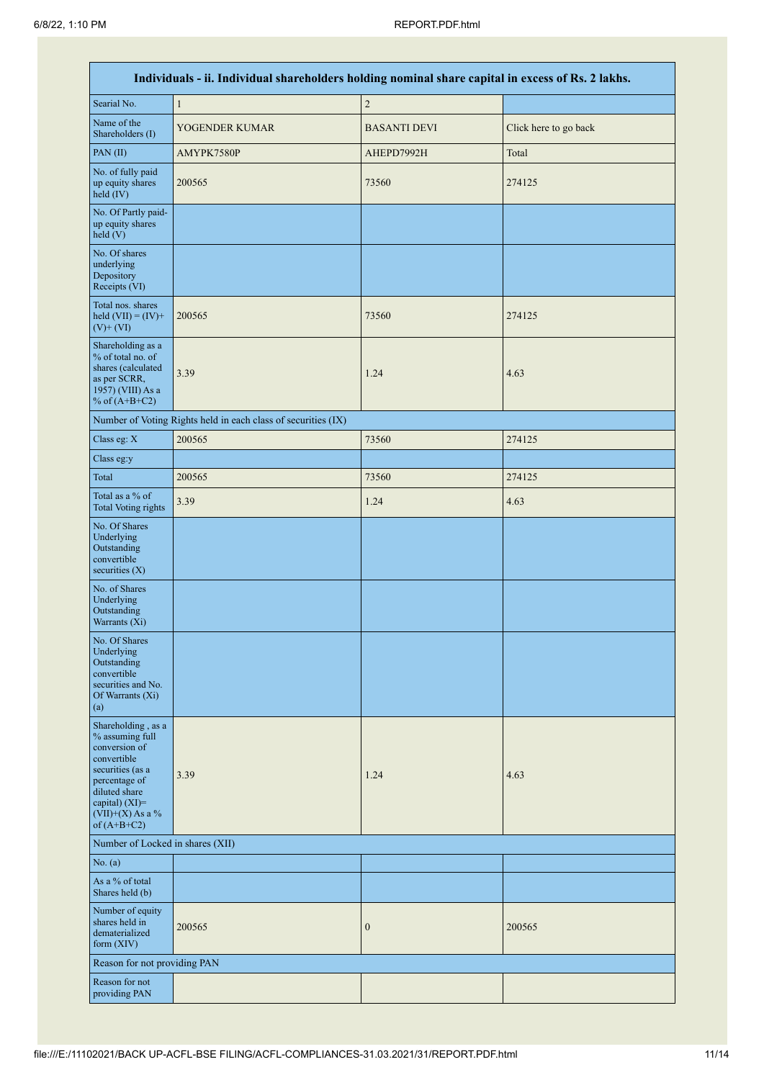|                                                                                                                                                                                      | Individuals - ii. Individual shareholders holding nominal share capital in excess of Rs. 2 lakhs. |                     |                       |
|--------------------------------------------------------------------------------------------------------------------------------------------------------------------------------------|---------------------------------------------------------------------------------------------------|---------------------|-----------------------|
| Searial No.                                                                                                                                                                          | $\mathbf{1}$                                                                                      | $\sqrt{2}$          |                       |
| Name of the<br>Shareholders (I)                                                                                                                                                      | YOGENDER KUMAR                                                                                    | <b>BASANTI DEVI</b> | Click here to go back |
| PAN(II)                                                                                                                                                                              | AMYPK7580P                                                                                        | AHEPD7992H          | Total                 |
| No. of fully paid<br>up equity shares<br>held $(IV)$                                                                                                                                 | 200565                                                                                            | 73560               | 274125                |
| No. Of Partly paid-<br>up equity shares<br>held (V)                                                                                                                                  |                                                                                                   |                     |                       |
| No. Of shares<br>underlying<br>Depository<br>Receipts (VI)                                                                                                                           |                                                                                                   |                     |                       |
| Total nos. shares<br>held $(VII) = (IV) +$<br>$(V)$ + $(VI)$                                                                                                                         | 200565                                                                                            | 73560               | 274125                |
| Shareholding as a<br>% of total no. of<br>shares (calculated<br>as per SCRR,<br>1957) (VIII) As a<br>% of $(A+B+C2)$                                                                 | 3.39                                                                                              | 1.24                | 4.63                  |
|                                                                                                                                                                                      | Number of Voting Rights held in each class of securities (IX)                                     |                     |                       |
| Class eg: X                                                                                                                                                                          | 200565                                                                                            | 73560               | 274125                |
| Class eg:y                                                                                                                                                                           |                                                                                                   |                     |                       |
| Total                                                                                                                                                                                | 200565                                                                                            | 73560               | 274125                |
| Total as a % of<br><b>Total Voting rights</b>                                                                                                                                        | 3.39                                                                                              | 1.24                | 4.63                  |
| No. Of Shares<br>Underlying<br>Outstanding<br>convertible<br>securities $(X)$                                                                                                        |                                                                                                   |                     |                       |
| No. of Shares<br>Underlying<br>Outstanding<br>Warrants (Xi)                                                                                                                          |                                                                                                   |                     |                       |
| No. Of Shares<br>Underlying<br>Outstanding<br>convertible<br>securities and No.<br>Of Warrants (Xi)<br>(a)                                                                           |                                                                                                   |                     |                       |
| Shareholding, as a<br>% assuming full<br>conversion of<br>convertible<br>securities (as a<br>percentage of<br>diluted share<br>capital) (XI)=<br>$(VII)+(X)$ As a %<br>of $(A+B+C2)$ | 3.39                                                                                              | 1.24                | 4.63                  |
| Number of Locked in shares (XII)                                                                                                                                                     |                                                                                                   |                     |                       |
| No. (a)                                                                                                                                                                              |                                                                                                   |                     |                       |
| As a % of total<br>Shares held (b)                                                                                                                                                   |                                                                                                   |                     |                       |
| Number of equity<br>shares held in<br>dematerialized<br>form $(XIV)$                                                                                                                 | 200565                                                                                            | $\boldsymbol{0}$    | 200565                |
| Reason for not providing PAN                                                                                                                                                         |                                                                                                   |                     |                       |
| Reason for not<br>providing PAN                                                                                                                                                      |                                                                                                   |                     |                       |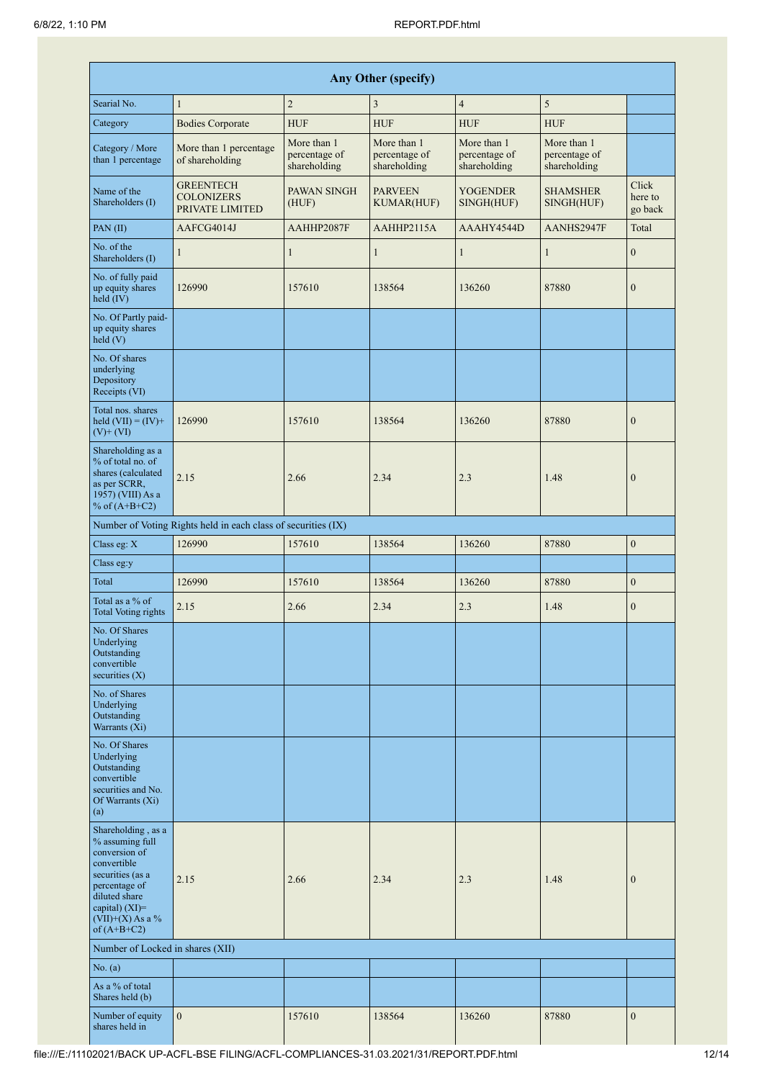|                                                                                                                                                                                         |                                                               |                                              | Any Other (specify)                          |                                              |                                              |                             |
|-----------------------------------------------------------------------------------------------------------------------------------------------------------------------------------------|---------------------------------------------------------------|----------------------------------------------|----------------------------------------------|----------------------------------------------|----------------------------------------------|-----------------------------|
| Searial No.                                                                                                                                                                             | $\mathbf{1}$                                                  | $\overline{2}$                               | 3                                            | $\overline{4}$                               | $\sqrt{5}$                                   |                             |
| Category                                                                                                                                                                                | <b>Bodies Corporate</b>                                       | <b>HUF</b>                                   | <b>HUF</b>                                   | <b>HUF</b>                                   | <b>HUF</b>                                   |                             |
| Category / More<br>than 1 percentage                                                                                                                                                    | More than 1 percentage<br>of shareholding                     | More than 1<br>percentage of<br>shareholding | More than 1<br>percentage of<br>shareholding | More than 1<br>percentage of<br>shareholding | More than 1<br>percentage of<br>shareholding |                             |
| Name of the<br>Shareholders (I)                                                                                                                                                         | <b>GREENTECH</b><br><b>COLONIZERS</b><br>PRIVATE LIMITED      | PAWAN SINGH<br>(HUF)                         | <b>PARVEEN</b><br><b>KUMAR(HUF)</b>          | <b>YOGENDER</b><br>SINGH(HUF)                | <b>SHAMSHER</b><br>SINGH(HUF)                | Click<br>here to<br>go back |
| PAN(II)                                                                                                                                                                                 | AAFCG4014J                                                    | AAHHP2087F                                   | AAHHP2115A                                   | AAAHY4544D                                   | AANHS2947F                                   | Total                       |
| No. of the<br>Shareholders (I)                                                                                                                                                          | 1                                                             | $\mathbf{1}$                                 | $\mathbf{1}$                                 | $\mathbf{1}$                                 | $\mathbf{1}$                                 | $\boldsymbol{0}$            |
| No. of fully paid<br>up equity shares<br>held (IV)                                                                                                                                      | 126990                                                        | 157610                                       | 138564                                       | 136260                                       | 87880                                        | $\mathbf{0}$                |
| No. Of Partly paid-<br>up equity shares<br>held(V)                                                                                                                                      |                                                               |                                              |                                              |                                              |                                              |                             |
| No. Of shares<br>underlying<br>Depository<br>Receipts (VI)                                                                                                                              |                                                               |                                              |                                              |                                              |                                              |                             |
| Total nos. shares<br>held $(VII) = (IV) +$<br>$(V)$ + $(VI)$                                                                                                                            | 126990                                                        | 157610                                       | 138564                                       | 136260                                       | 87880                                        | $\mathbf{0}$                |
| Shareholding as a<br>% of total no. of<br>shares (calculated<br>as per SCRR,<br>1957) (VIII) As a<br>% of $(A+B+C2)$                                                                    | 2.15                                                          | 2.66                                         | 2.34                                         | 2.3                                          | 1.48                                         | $\mathbf{0}$                |
|                                                                                                                                                                                         | Number of Voting Rights held in each class of securities (IX) |                                              |                                              |                                              |                                              |                             |
| Class eg: X                                                                                                                                                                             | 126990                                                        | 157610                                       | 138564                                       | 136260                                       | 87880                                        | $\mathbf{0}$                |
| Class eg:y                                                                                                                                                                              |                                                               |                                              |                                              |                                              |                                              |                             |
| Total                                                                                                                                                                                   | 126990                                                        | 157610                                       | 138564                                       | 136260                                       | 87880                                        | $\mathbf{0}$                |
| Total as a % of<br><b>Total Voting rights</b>                                                                                                                                           | 2.15                                                          | 2.66                                         | 2.34                                         | 2.3                                          | 1.48                                         | $\boldsymbol{0}$            |
| No. Of Shares<br>Underlying<br>Outstanding<br>convertible<br>securities $(X)$                                                                                                           |                                                               |                                              |                                              |                                              |                                              |                             |
| No. of Shares<br>Underlying<br>Outstanding<br>Warrants (Xi)                                                                                                                             |                                                               |                                              |                                              |                                              |                                              |                             |
| No. Of Shares<br>Underlying<br>Outstanding<br>convertible<br>securities and No.<br>Of Warrants (Xi)<br>(a)                                                                              |                                                               |                                              |                                              |                                              |                                              |                             |
| Shareholding, as a<br>% assuming full<br>conversion of<br>convertible<br>securities (as a<br>percentage of<br>diluted share<br>capital) $(XI)$ =<br>$(VII)+(X)$ As a %<br>of $(A+B+C2)$ | 2.15                                                          | 2.66                                         | 2.34                                         | 2.3                                          | 1.48                                         | $\mathbf{0}$                |
| Number of Locked in shares (XII)                                                                                                                                                        |                                                               |                                              |                                              |                                              |                                              |                             |
| No. (a)                                                                                                                                                                                 |                                                               |                                              |                                              |                                              |                                              |                             |
| As a % of total<br>Shares held (b)                                                                                                                                                      |                                                               |                                              |                                              |                                              |                                              |                             |
| Number of equity<br>shares held in                                                                                                                                                      | $\mathbf{0}$                                                  | 157610                                       | 138564                                       | 136260                                       | 87880                                        | $\mathbf{0}$                |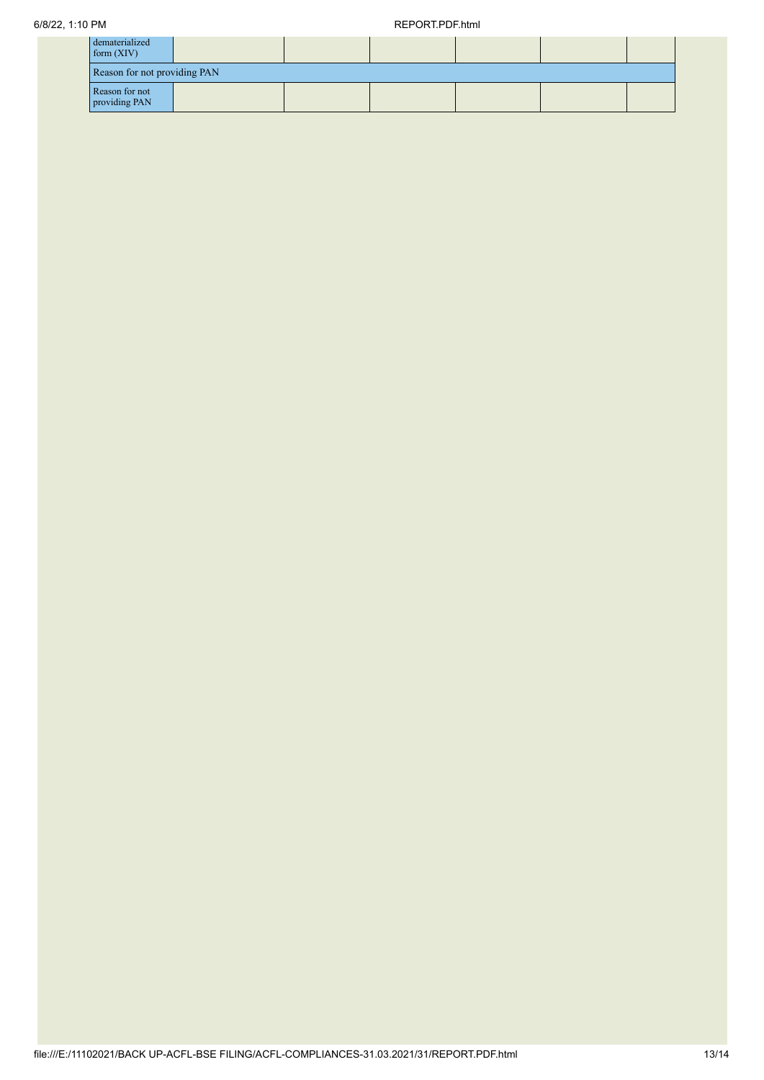| dematerialized<br>form $(XIV)$  |                              |  |  |  |  |  |  |
|---------------------------------|------------------------------|--|--|--|--|--|--|
|                                 | Reason for not providing PAN |  |  |  |  |  |  |
| Reason for not<br>providing PAN |                              |  |  |  |  |  |  |